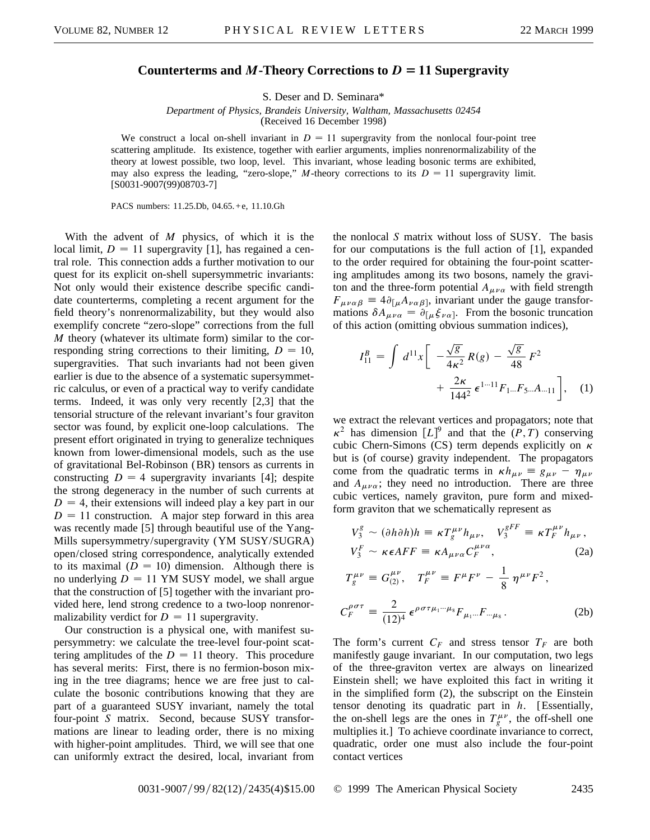## Counterterms and *M***-Theory Corrections to**  $D = 11$  Supergravity

S. Deser and D. Seminara\*

*Department of Physics, Brandeis University, Waltham, Massachusetts 02454* (Received 16 December 1998)

We construct a local on-shell invariant in  $D = 11$  supergravity from the nonlocal four-point tree scattering amplitude. Its existence, together with earlier arguments, implies nonrenormalizability of the theory at lowest possible, two loop, level. This invariant, whose leading bosonic terms are exhibited, may also express the leading, "zero-slope," *M*-theory corrections to its  $D = 11$  supergravity limit. [S0031-9007(99)08703-7]

PACS numbers: 11.25.Db, 04.65.+e, 11.10.Gh

With the advent of *M* physics, of which it is the local limit,  $D = 11$  supergravity [1], has regained a central role. This connection adds a further motivation to our quest for its explicit on-shell supersymmetric invariants: Not only would their existence describe specific candidate counterterms, completing a recent argument for the field theory's nonrenormalizability, but they would also exemplify concrete "zero-slope" corrections from the full *M* theory (whatever its ultimate form) similar to the corresponding string corrections to their limiting,  $D = 10$ , supergravities. That such invariants had not been given earlier is due to the absence of a systematic supersymmetric calculus, or even of a practical way to verify candidate terms. Indeed, it was only very recently [2,3] that the tensorial structure of the relevant invariant's four graviton sector was found, by explicit one-loop calculations. The present effort originated in trying to generalize techniques known from lower-dimensional models, such as the use of gravitational Bel-Robinson (BR) tensors as currents in constructing  $D = 4$  supergravity invariants [4]; despite the strong degeneracy in the number of such currents at  $D = 4$ , their extensions will indeed play a key part in our  $D = 11$  construction. A major step forward in this area was recently made [5] through beautiful use of the Yang-Mills supersymmetry/supergravity (YM SUSY/SUGRA) open/closed string correspondence, analytically extended to its maximal  $(D = 10)$  dimension. Although there is no underlying  $D = 11$  YM SUSY model, we shall argue that the construction of [5] together with the invariant provided here, lend strong credence to a two-loop nonrenormalizability verdict for  $D = 11$  supergravity.

Our construction is a physical one, with manifest supersymmetry: we calculate the tree-level four-point scattering amplitudes of the  $D = 11$  theory. This procedure has several merits: First, there is no fermion-boson mixing in the tree diagrams; hence we are free just to calculate the bosonic contributions knowing that they are part of a guaranteed SUSY invariant, namely the total four-point *S* matrix. Second, because SUSY transformations are linear to leading order, there is no mixing with higher-point amplitudes. Third, we will see that one can uniformly extract the desired, local, invariant from

the nonlocal *S* matrix without loss of SUSY. The basis for our computations is the full action of [1], expanded to the order required for obtaining the four-point scattering amplitudes among its two bosons, namely the graviton and the three-form potential  $A_{\mu\nu\alpha}$  with field strength  $F_{\mu\nu\alpha\beta} = 4\partial_{\lceil \mu}A_{\nu\alpha\beta\rceil}$ , invariant under the gauge transformations  $\delta A_{\mu\nu\alpha} = \partial_{[\mu}\xi_{\nu\alpha]}$ . From the bosonic truncation of this action (omitting obvious summation indices),

$$
I_{11}^{B} = \int d^{11}x \left[ -\frac{\sqrt{g}}{4\kappa^{2}} R(g) - \frac{\sqrt{g}}{48} F^{2} + \frac{2\kappa}{144^{2}} \epsilon^{1\cdots 11} F_{1\cdots} F_{5\cdots} A_{\cdots 11} \right], \quad (1)
$$

we extract the relevant vertices and propagators; note that  $\kappa^2$  has dimension  $[L]^9$  and that the  $(P, T)$  conserving cubic Chern-Simons (CS) term depends explicitly on  $\kappa$ but is (of course) gravity independent. The propagators come from the quadratic terms in  $\kappa h_{\mu\nu} \equiv g_{\mu\nu} - \eta_{\mu\nu}$ and  $A_{\mu\nu\alpha}$ ; they need no introduction. There are three cubic vertices, namely graviton, pure form and mixedform graviton that we schematically represent as

$$
V_3^g \sim (\partial h \partial h)h \equiv \kappa T_g^{\mu\nu} h_{\mu\nu}, \quad V_3^{gFF} \equiv \kappa T_F^{\mu\nu} h_{\mu\nu},
$$
  

$$
V_3^F \sim \kappa \epsilon AFF \equiv \kappa A_{\mu\nu\alpha} C_F^{\mu\nu\alpha}, \tag{2a}
$$

$$
T_g^{\mu\nu} \equiv G_{(2)}^{\mu\nu}, \quad T_F^{\mu\nu} \equiv F^{\mu}F^{\nu} - \frac{1}{8} \eta^{\mu\nu}F^2,
$$
  

$$
C_F^{\rho\sigma\tau} \equiv \frac{2}{(12)^4} \epsilon^{\rho\sigma\tau\mu_1\cdots\mu_8} F_{\mu_1\cdots} F_{\cdots\mu_8}.
$$
 (2b)

The form's current  $C_F$  and stress tensor  $T_F$  are both manifestly gauge invariant. In our computation, two legs of the three-graviton vertex are always on linearized Einstein shell; we have exploited this fact in writing it in the simplified form (2), the subscript on the Einstein tensor denoting its quadratic part in *h*. [Essentially, the on-shell legs are the ones in  $T_g^{\mu\nu}$ , the off-shell one multiplies it.] To achieve coordinate invariance to correct, quadratic, order one must also include the four-point contact vertices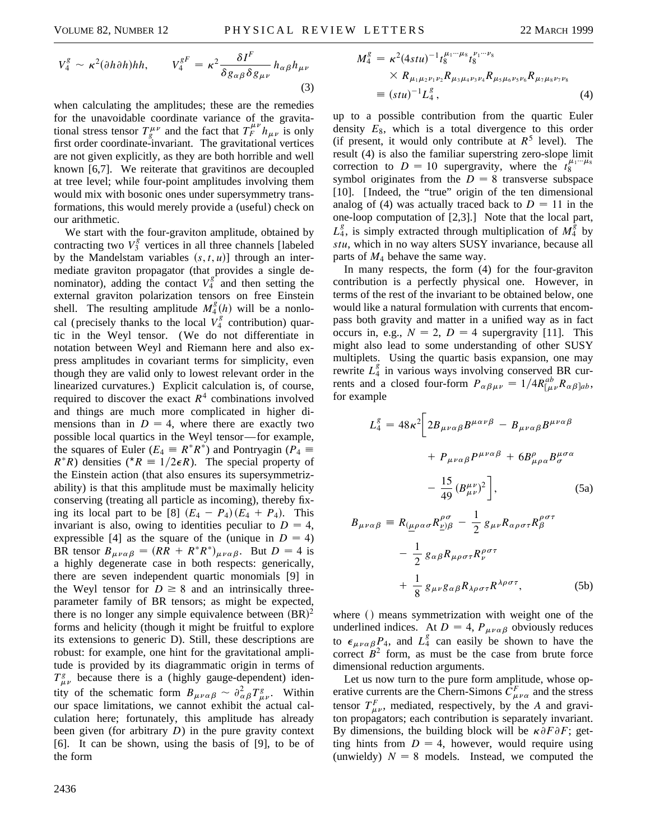$$
V_4^g \sim \kappa^2 (\partial h \partial h) h h, \qquad V_4^{gF} = \kappa^2 \frac{\delta I^F}{\delta g_{\alpha\beta} \delta g_{\mu\nu}} h_{\alpha\beta} h_{\mu\nu}
$$
\n(3)

when calculating the amplitudes; these are the remedies for the unavoidable coordinate variance of the gravitational stress tensor  $T_g^{\mu\nu}$  and the fact that  $T_f^{\mu\nu} h_{\mu\nu}$  is only first order coordinate-invariant. The gravitational vertices are not given explicitly, as they are both horrible and well known [6,7]. We reiterate that gravitinos are decoupled at tree level; while four-point amplitudes involving them would mix with bosonic ones under supersymmetry transformations, this would merely provide a (useful) check on our arithmetic.

We start with the four-graviton amplitude, obtained by contracting two  $V_3^g$  vertices in all three channels [labeled] by the Mandelstam variables  $(s, t, u)$ ] through an intermediate graviton propagator (that provides a single denominator), adding the contact  $V_4^g$  and then setting the external graviton polarization tensors on free Einstein shell. The resulting amplitude  $M_4^g(h)$  will be a nonlocal (precisely thanks to the local  $\overrightarrow{V}_4^8$  contribution) quartic in the Weyl tensor. (We do not differentiate in notation between Weyl and Riemann here and also express amplitudes in covariant terms for simplicity, even though they are valid only to lowest relevant order in the linearized curvatures.) Explicit calculation is, of course, required to discover the exact  $R<sup>4</sup>$  combinations involved and things are much more complicated in higher dimensions than in  $D = 4$ , where there are exactly two possible local quartics in the Weyl tensor— for example, the squares of Euler ( $E_4 \equiv R^*R^*$ ) and Pontryagin ( $P_4 \equiv$  $R^*R$ ) densities ( $^*R \equiv 1/2\epsilon R$ ). The special property of the Einstein action (that also ensures its supersymmetrizability) is that this amplitude must be maximally helicity conserving (treating all particle as incoming), thereby fixing its local part to be [8]  $(E_4 - P_4)(E_4 + P_4)$ . This invariant is also, owing to identities peculiar to  $D = 4$ , expressible [4] as the square of the (unique in  $D = 4$ ) BR tensor  $B_{\mu\nu\alpha\beta} = (RR + R^*R^*)_{\mu\nu\alpha\beta}$ . But  $D = 4$  is a highly degenerate case in both respects: generically, there are seven independent quartic monomials [9] in the Weyl tensor for  $D \geq 8$  and an intrinsically threeparameter family of BR tensors; as might be expected, there is no longer any simple equivalence between  $(BR)^2$ forms and helicity (though it might be fruitful to explore its extensions to generic D). Still, these descriptions are robust: for example, one hint for the gravitational amplitude is provided by its diagrammatic origin in terms of  $T^g_{\mu\nu}$  because there is a (highly gauge-dependent) identity of the schematic form  $B_{\mu\nu\alpha\beta} \sim \partial^2_{\alpha\beta} T^g_{\mu\nu}$ . Within our space limitations, we cannot exhibit the actual calculation here; fortunately, this amplitude has already been given (for arbitrary *D*) in the pure gravity context [6]. It can be shown, using the basis of [9], to be of the form

$$
M_4^g = \kappa^2 (4stu)^{-1} t_8^{\mu_1 \cdots \mu_8} t_8^{\nu_1 \cdots \nu_8}
$$
  
×  $R_{\mu_1 \mu_2 \nu_1 \nu_2} R_{\mu_3 \mu_4 \nu_3 \nu_4} R_{\mu_5 \mu_6 \nu_5 \nu_6} R_{\mu_7 \mu_8 \nu_7 \nu_8}$   
≡  $(stu)^{-1} L_4^g$ , (4)

up to a possible contribution from the quartic Euler density  $E_8$ , which is a total divergence to this order (if present, it would only contribute at  $R^5$  level). The result (4) is also the familiar superstring zero-slope limit correction to  $D = 10$  supergravity, where the  $t_8^{\mu_1 \cdots \mu_8}$ symbol originates from the  $D = 8$  transverse subspace [10]. [ Indeed, the "true" origin of the ten dimensional analog of (4) was actually traced back to  $D = 11$  in the one-loop computation of [2,3].] Note that the local part,  $L_4^g$ , is simply extracted through multiplication of  $M_4^g$  by *stu*, which in no way alters SUSY invariance, because all parts of *M*<sup>4</sup> behave the same way.

In many respects, the form (4) for the four-graviton contribution is a perfectly physical one. However, in terms of the rest of the invariant to be obtained below, one would like a natural formulation with currents that encompass both gravity and matter in a unified way as in fact occurs in, e.g.,  $N = 2$ ,  $D = 4$  supergravity [11]. This might also lead to some understanding of other SUSY multiplets. Using the quartic basis expansion, one may rewrite  $L_4^g$  in various ways involving conserved BR currents and a closed four-form  $P_{\alpha\beta\mu\nu} = 1/4R^{ab}_{[\mu\nu}R_{\alpha\beta]ab}$ , for example

$$
L_4^g = 48\kappa^2 \left[ 2B_{\mu\nu\alpha\beta} B^{\mu\alpha\nu\beta} - B_{\mu\nu\alpha\beta} B^{\mu\nu\alpha\beta} + P_{\mu\nu\alpha\beta} P^{\mu\nu\alpha\beta} + 6B^{\rho}_{\mu\rho\alpha} B^{\mu\sigma\alpha}_{\sigma} - \frac{15}{49} (B^{\mu\nu}_{\mu\nu})^2 \right],
$$
 (5a)

$$
B_{\mu\nu\alpha\beta} \equiv R_{(\underline{\mu}\rho\alpha\sigma} R^{\rho\sigma}_{\underline{\nu}\beta} - \frac{1}{2} g_{\mu\nu} R_{\alpha\rho\sigma\tau} R^{\rho\sigma\tau}_{\beta}
$$

$$
- \frac{1}{2} g_{\alpha\beta} R_{\mu\rho\sigma\tau} R^{\rho\sigma\tau}_{\nu}
$$

$$
+ \frac{1}{8} g_{\mu\nu} g_{\alpha\beta} R_{\lambda\rho\sigma\tau} R^{\lambda\rho\sigma\tau}, \qquad (5b)
$$

where  $\theta$  means symmetrization with weight one of the underlined indices. At  $D = 4$ ,  $P_{\mu\nu\alpha\beta}$  obviously reduces to  $\epsilon_{\mu\nu\alpha\beta}P_4$ , and  $L_4^g$  can easily be shown to have the correct  $B<sup>2</sup>$  form, as must be the case from brute force dimensional reduction arguments.

Let us now turn to the pure form amplitude, whose operative currents are the Chern-Simons  $C_{\mu\nu\alpha}^F$  and the stress tensor  $T_{\mu\nu}^F$ , mediated, respectively, by the *A* and graviton propagators; each contribution is separately invariant. By dimensions, the building block will be  $\kappa \partial F \partial F$ ; getting hints from  $D = 4$ , however, would require using (unwieldy)  $N = 8$  models. Instead, we computed the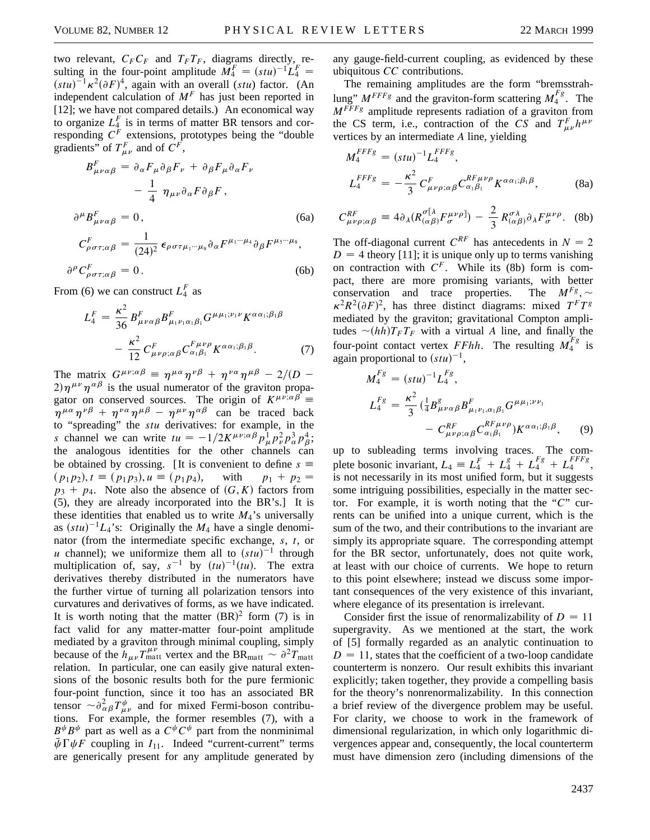two relevant,  $C_F C_F$  and  $T_F T_F$ , diagrams directly, resulting in the four-point amplitude  $\tilde{M}_4^F = (stu)^{-1} \tilde{L}_4^F =$  $(stu)^{-1} \kappa^2 (\partial F)^4$ , again with an overall (*stu*) factor. (An independent calculation of  $M<sup>F</sup>$  has just been reported in [12]; we have not compared details.) An economical way to organize  $L_4^F$  is in terms of matter BR tensors and corresponding *C<sup>F</sup>* extensions, prototypes being the "double gradients" of  $T_{\mu\nu}^F$  and of  $C^F$ ,

$$
B_{\mu\nu\alpha\beta}^{F} = \partial_{\alpha} F_{\mu} \partial_{\beta} F_{\nu} + \partial_{\beta} F_{\mu} \partial_{\alpha} F_{\nu}
$$

$$
- \frac{1}{4} \eta_{\mu\nu} \partial_{\alpha} F \partial_{\beta} F,
$$

$$
\partial^{\mu} B_{\mu\nu\alpha\beta}^{F} = 0,
$$
(6a)
$$
C_{\rho\sigma\tau;\alpha\beta}^{F} = \frac{1}{(24)^{2}} \epsilon_{\rho\sigma\tau\mu_{1}\cdots\mu_{8}} \partial_{\alpha} F^{\mu_{1}\cdots\mu_{4}} \partial_{\beta} F^{\mu_{5}\cdots\mu_{8}},
$$

$$
\partial^{\rho} C_{\rho \sigma \tau; \alpha \beta}^{F} = 0. \tag{6b}
$$

From (6) we can construct  $L_4^F$  as

$$
L_4^F = \frac{\kappa^2}{36} B_{\mu\nu\alpha\beta}^F B_{\mu_1\nu_1\alpha_1\beta_1}^F G^{\mu\mu_1;\nu_1\nu} K^{\alpha\alpha_1;\beta_1\beta} - \frac{\kappa^2}{12} C_{\mu\nu\rho;\alpha\beta}^F C_{\alpha_1\beta_1}^{F\mu\nu\rho} K^{\alpha\alpha_1;\beta_1\beta}.
$$
 (7)

The matrix  $G^{\mu\nu;\alpha\beta} \equiv \eta^{\mu\alpha}\eta^{\nu\beta} + \eta^{\nu\alpha}\eta^{\mu\beta} - 2/(D (2)\eta^{\mu\nu}\eta^{\alpha\beta}$  is the usual numerator of the graviton propagator on conserved sources. The origin of  $K^{\mu\nu;\alpha\beta}$  $\eta^{\mu\alpha}\eta^{\nu\beta} + \eta^{\nu\alpha}\eta^{\mu\beta} - \eta^{\mu\nu}\eta^{\alpha\beta}$  can be traced back to "spreading" the *stu* derivatives: for example, in the *s* channel we can write  $tu = -1/2K^{\mu\nu;\alpha\beta} p_{\mu}^1 p_{\nu}^2 p_{\alpha}^3 p_{\beta}^4$ ; the analogous identities for the other channels can be obtained by crossing. [It is convenient to define  $s \equiv$  $(p_1p_2)$ ,  $t \equiv (p_1p_3)$ ,  $u \equiv (p_1p_4)$ , with  $p_1 + p_2 =$  $p_3 + p_4$ . Note also the absence of  $(G, K)$  factors from (5), they are already incorporated into the BR's.] It is these identities that enabled us to write  $M_4$ 's universally as  $(stu)^{-1}L_4$ 's: Originally the  $M_4$  have a single denominator (from the intermediate specific exchange, *s*, *t*, or *u* channel); we uniformize them all to  $(stu)^{-1}$  through multiplication of, say,  $s^{-1}$  by  $(tu)^{-1}(tu)$ . The extra derivatives thereby distributed in the numerators have the further virtue of turning all polarization tensors into curvatures and derivatives of forms, as we have indicated. It is worth noting that the matter  $(BR)^2$  form (7) is in fact valid for any matter-matter four-point amplitude mediated by a graviton through minimal coupling, simply because of the  $h_{\mu\nu}T_{\text{matt}}^{\mu\nu}$  vertex and the BR<sub>matt</sub>  $\sim \partial^2 T_{\text{matt}}$ relation. In particular, one can easily give natural extensions of the bosonic results both for the pure fermionic four-point function, since it too has an associated BR tensor  $\sim \partial_{\alpha\beta}^2 T_{\mu\nu}^{\psi}$  and for mixed Fermi-boson contributions. For example, the former resembles (7), with a  $B^{\psi}B^{\psi}$  part as well as a  $C^{\psi}C^{\psi}$  part from the nonminimal  $\bar{\psi} \Gamma \psi F$  coupling in  $I_{11}$ . Indeed "current-current" terms are generically present for any amplitude generated by any gauge-field-current coupling, as evidenced by these ubiquitous *CC* contributions.

The remaining amplitudes are the form "bremsstrahlung"  $M^{FFFg}$  and the graviton-form scattering  $M_4^{Fg}$ . The *MFFFg* amplitude represents radiation of a graviton from the CS term, i.e., contraction of the *CS* and  $T_{\mu\nu}^F h^{\mu\nu}$ vertices by an intermediate *A* line, yielding

$$
M_4^{FFFg} = (stu)^{-1} L_4^{FFFg},
$$
  
\n
$$
L_4^{FFFg} = -\frac{\kappa^2}{3} C_{\mu\nu\rho;\alpha\beta}^F C_{\alpha_1\beta_1}^{RF\mu\nu\rho} K^{\alpha\alpha_1;\beta_1\beta},
$$
\n(8a)

$$
C_{\mu\nu\rho;\alpha\beta}^{RF} \equiv 4\partial_{\lambda}(R_{(\alpha\beta)}^{\sigma[\lambda}F_{\sigma}^{\mu\nu\rho]}) - \frac{2}{3}R_{(\alpha\beta)}^{\sigma\lambda}\partial_{\lambda}F_{\sigma}^{\mu\nu\rho}.
$$
 (8b)

The off-diagonal current  $C^{RF}$  has antecedents in  $N = 2$  $D = 4$  theory [11]; it is unique only up to terms vanishing on contraction with  $C<sup>F</sup>$ . While its (8b) form is compact, there are more promising variants, with better conservation and trace properties. The  $M^{Fg}$ ,  $\sim$  $\kappa^2 R^2 (\partial F)^2$ , has three distinct diagrams: mixed  $T^F T^g$ mediated by the graviton; gravitational Compton amplitudes  $\sim(hh)T_F T_F$  with a virtual *A* line, and finally the four-point contact vertex *FFhh*. The resulting  $M_4^{F_g}$  is again proportional to  $(stu)^{-1}$ ,

$$
M_4^{F_g} = (stu)^{-1} L_4^{F_g},
$$
  
\n
$$
L_4^{F_g} = \frac{\kappa^2}{3} (\frac{1}{4} B_{\mu\nu\alpha\beta}^g B_{\mu_1\nu_1,\alpha_1\beta_1}^F G^{\mu\mu_1;\nu\nu_1} - C_{\mu\nu\rho;\alpha\beta}^{RF\mu\nu\rho} C_{\alpha_1\beta_1}^{RF\mu\nu\rho}) K^{\alpha\alpha_1;\beta_1\beta}, \qquad (9)
$$

up to subleading terms involving traces. The complete bosonic invariant,  $L_4 = L_4^F + L_4^g + L_4^{Fg} + L_4^{FFFg}$ , is not necessarily in its most unified form, but it suggests some intriguing possibilities, especially in the matter sector. For example, it is worth noting that the "*C*" currents can be unified into a unique current, which is the sum of the two, and their contributions to the invariant are simply its appropriate square. The corresponding attempt for the BR sector, unfortunately, does not quite work, at least with our choice of currents. We hope to return to this point elsewhere; instead we discuss some important consequences of the very existence of this invariant, where elegance of its presentation is irrelevant.

Consider first the issue of renormalizability of  $D = 11$ supergravity. As we mentioned at the start, the work of [5] formally regarded as an analytic continuation to  $D = 11$ , states that the coefficient of a two-loop candidate counterterm is nonzero. Our result exhibits this invariant explicitly; taken together, they provide a compelling basis for the theory's nonrenormalizability. In this connection a brief review of the divergence problem may be useful. For clarity, we choose to work in the framework of dimensional regularization, in which only logarithmic divergences appear and, consequently, the local counterterm must have dimension zero (including dimensions of the